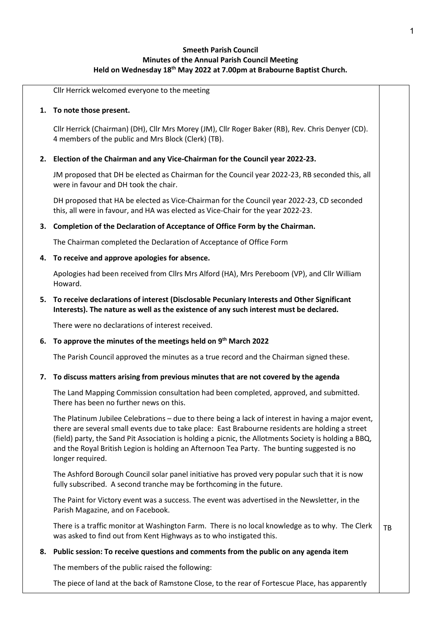# Smeeth Parish Council Minutes of the Annual Parish Council Meeting Held on Wednesday 18<sup>th</sup> May 2022 at 7.00pm at Brabourne Baptist Church.

Cllr Herrick welcomed everyone to the meeting

### 1. To note those present.

Cllr Herrick (Chairman) (DH), Cllr Mrs Morey (JM), Cllr Roger Baker (RB), Rev. Chris Denyer (CD). 4 members of the public and Mrs Block (Clerk) (TB).

## 2. Election of the Chairman and any Vice-Chairman for the Council year 2022-23.

JM proposed that DH be elected as Chairman for the Council year 2022-23, RB seconded this, all were in favour and DH took the chair.

DH proposed that HA be elected as Vice-Chairman for the Council year 2022-23, CD seconded this, all were in favour, and HA was elected as Vice-Chair for the year 2022-23.

## 3. Completion of the Declaration of Acceptance of Office Form by the Chairman.

The Chairman completed the Declaration of Acceptance of Office Form

## 4. To receive and approve apologies for absence.

Apologies had been received from Cllrs Mrs Alford (HA), Mrs Pereboom (VP), and Cllr William Howard.

# 5. To receive declarations of interest (Disclosable Pecuniary Interests and Other Significant Interests). The nature as well as the existence of any such interest must be declared.

There were no declarations of interest received.

## 6. To approve the minutes of the meetings held on  $9<sup>th</sup>$  March 2022

The Parish Council approved the minutes as a true record and the Chairman signed these.

## 7. To discuss matters arising from previous minutes that are not covered by the agenda

The Land Mapping Commission consultation had been completed, approved, and submitted. There has been no further news on this.

The Platinum Jubilee Celebrations – due to there being a lack of interest in having a major event, there are several small events due to take place: East Brabourne residents are holding a street (field) party, the Sand Pit Association is holding a picnic, the Allotments Society is holding a BBQ, and the Royal British Legion is holding an Afternoon Tea Party. The bunting suggested is no longer required.

The Ashford Borough Council solar panel initiative has proved very popular such that it is now fully subscribed. A second tranche may be forthcoming in the future.

The Paint for Victory event was a success. The event was advertised in the Newsletter, in the Parish Magazine, and on Facebook.

There is a traffic monitor at Washington Farm. There is no local knowledge as to why. The Clerk was asked to find out from Kent Highways as to who instigated this. TB

## 8. Public session: To receive questions and comments from the public on any agenda item

The members of the public raised the following:

The piece of land at the back of Ramstone Close, to the rear of Fortescue Place, has apparently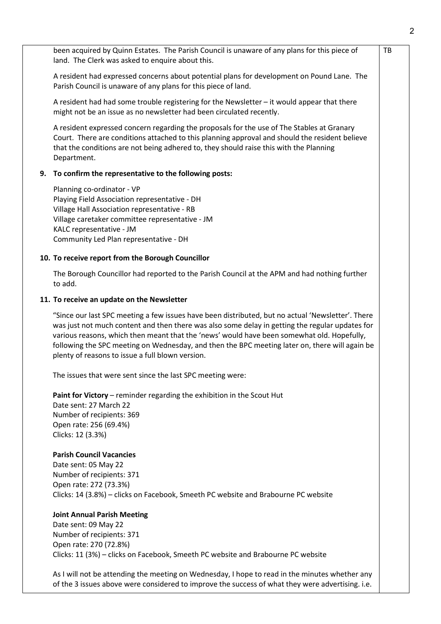been acquired by Quinn Estates. The Parish Council is unaware of any plans for this piece of land. The Clerk was asked to enquire about this.

A resident had expressed concerns about potential plans for development on Pound Lane. The Parish Council is unaware of any plans for this piece of land.

A resident had had some trouble registering for the Newsletter – it would appear that there might not be an issue as no newsletter had been circulated recently.

A resident expressed concern regarding the proposals for the use of The Stables at Granary Court. There are conditions attached to this planning approval and should the resident believe that the conditions are not being adhered to, they should raise this with the Planning Department.

### 9. To confirm the representative to the following posts:

Planning co-ordinator - VP Playing Field Association representative - DH Village Hall Association representative - RB Village caretaker committee representative - JM KALC representative - JM Community Led Plan representative - DH

# 10. To receive report from the Borough Councillor

The Borough Councillor had reported to the Parish Council at the APM and had nothing further to add.

#### 11. To receive an update on the Newsletter

"Since our last SPC meeting a few issues have been distributed, but no actual 'Newsletter'. There was just not much content and then there was also some delay in getting the regular updates for various reasons, which then meant that the 'news' would have been somewhat old. Hopefully, following the SPC meeting on Wednesday, and then the BPC meeting later on, there will again be plenty of reasons to issue a full blown version.

The issues that were sent since the last SPC meeting were:

Paint for Victory – reminder regarding the exhibition in the Scout Hut Date sent: 27 March 22 Number of recipients: 369 Open rate: 256 (69.4%) Clicks: 12 (3.3%)

### Parish Council Vacancies

Date sent: 05 May 22 Number of recipients: 371 Open rate: 272 (73.3%) Clicks: 14 (3.8%) – clicks on Facebook, Smeeth PC website and Brabourne PC website

#### Joint Annual Parish Meeting

Date sent: 09 May 22 Number of recipients: 371 Open rate: 270 (72.8%) Clicks: 11 (3%) – clicks on Facebook, Smeeth PC website and Brabourne PC website

As I will not be attending the meeting on Wednesday, I hope to read in the minutes whether any of the 3 issues above were considered to improve the success of what they were advertising. i.e.

TB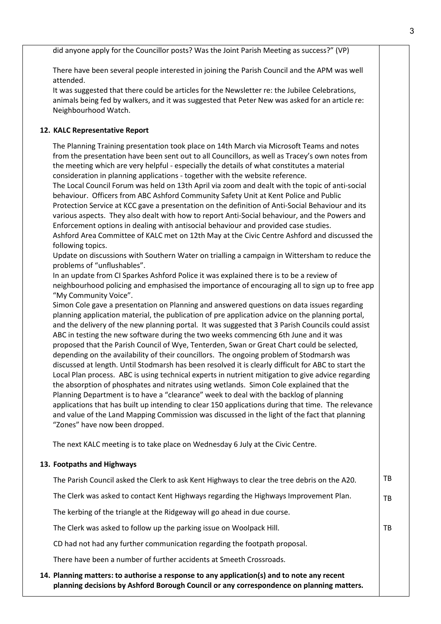did anyone apply for the Councillor posts? Was the Joint Parish Meeting as success?" (VP)

There have been several people interested in joining the Parish Council and the APM was well attended.

It was suggested that there could be articles for the Newsletter re: the Jubilee Celebrations, animals being fed by walkers, and it was suggested that Peter New was asked for an article re: Neighbourhood Watch.

## 12. KALC Representative Report

The Planning Training presentation took place on 14th March via Microsoft Teams and notes from the presentation have been sent out to all Councillors, as well as Tracey's own notes from the meeting which are very helpful - especially the details of what constitutes a material consideration in planning applications - together with the website reference.

The Local Council Forum was held on 13th April via zoom and dealt with the topic of anti-social behaviour. Officers from ABC Ashford Community Safety Unit at Kent Police and Public Protection Service at KCC gave a presentation on the definition of Anti-Social Behaviour and its various aspects. They also dealt with how to report Anti-Social behaviour, and the Powers and Enforcement options in dealing with antisocial behaviour and provided case studies. Ashford Area Committee of KALC met on 12th May at the Civic Centre Ashford and discussed the following topics.

Update on discussions with Southern Water on trialling a campaign in Wittersham to reduce the problems of "unflushables".

In an update from CI Sparkes Ashford Police it was explained there is to be a review of neighbourhood policing and emphasised the importance of encouraging all to sign up to free app "My Community Voice".

Simon Cole gave a presentation on Planning and answered questions on data issues regarding planning application material, the publication of pre application advice on the planning portal, and the delivery of the new planning portal. It was suggested that 3 Parish Councils could assist ABC in testing the new software during the two weeks commencing 6th June and it was proposed that the Parish Council of Wye, Tenterden, Swan or Great Chart could be selected, depending on the availability of their councillors. The ongoing problem of Stodmarsh was discussed at length. Until Stodmarsh has been resolved it is clearly difficult for ABC to start the Local Plan process. ABC is using technical experts in nutrient mitigation to give advice regarding the absorption of phosphates and nitrates using wetlands. Simon Cole explained that the Planning Department is to have a "clearance" week to deal with the backlog of planning applications that has built up intending to clear 150 applications during that time. The relevance and value of the Land Mapping Commission was discussed in the light of the fact that planning "Zones" have now been dropped.

The next KALC meeting is to take place on Wednesday 6 July at the Civic Centre.

### 13. Footpaths and Highways

| 14. Planning matters: to authorise a response to any application(s) and to note any recent   |           |
|----------------------------------------------------------------------------------------------|-----------|
| There have been a number of further accidents at Smeeth Crossroads.                          |           |
| CD had not had any further communication regarding the footpath proposal.                    |           |
| The Clerk was asked to follow up the parking issue on Woolpack Hill.                         | TB        |
| The kerbing of the triangle at the Ridgeway will go ahead in due course.                     |           |
| The Clerk was asked to contact Kent Highways regarding the Highways Improvement Plan.        | <b>TB</b> |
| The Parish Council asked the Clerk to ask Kent Highways to clear the tree debris on the A20. | TB        |

planning decisions by Ashford Borough Council or any correspondence on planning matters.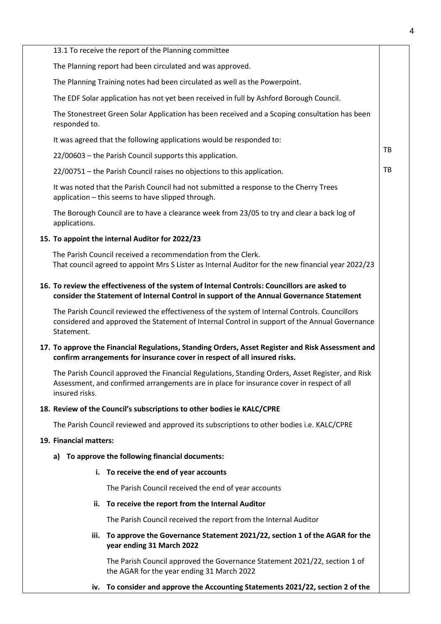|                                                                                                                                                                                                                 | 13.1 To receive the report of the Planning committee                                                                                                               |           |  |  |
|-----------------------------------------------------------------------------------------------------------------------------------------------------------------------------------------------------------------|--------------------------------------------------------------------------------------------------------------------------------------------------------------------|-----------|--|--|
|                                                                                                                                                                                                                 | The Planning report had been circulated and was approved.                                                                                                          |           |  |  |
|                                                                                                                                                                                                                 | The Planning Training notes had been circulated as well as the Powerpoint.                                                                                         |           |  |  |
|                                                                                                                                                                                                                 | The EDF Solar application has not yet been received in full by Ashford Borough Council.                                                                            |           |  |  |
| responded to.                                                                                                                                                                                                   | The Stonestreet Green Solar Application has been received and a Scoping consultation has been                                                                      |           |  |  |
|                                                                                                                                                                                                                 | It was agreed that the following applications would be responded to:                                                                                               |           |  |  |
|                                                                                                                                                                                                                 | 22/00603 - the Parish Council supports this application.                                                                                                           | TB        |  |  |
|                                                                                                                                                                                                                 | 22/00751 - the Parish Council raises no objections to this application.                                                                                            | <b>TB</b> |  |  |
|                                                                                                                                                                                                                 | It was noted that the Parish Council had not submitted a response to the Cherry Trees<br>application - this seems to have slipped through.                         |           |  |  |
| applications.                                                                                                                                                                                                   | The Borough Council are to have a clearance week from 23/05 to try and clear a back log of                                                                         |           |  |  |
|                                                                                                                                                                                                                 | 15. To appoint the internal Auditor for 2022/23                                                                                                                    |           |  |  |
|                                                                                                                                                                                                                 | The Parish Council received a recommendation from the Clerk.<br>That council agreed to appoint Mrs S Lister as Internal Auditor for the new financial year 2022/23 |           |  |  |
| 16. To review the effectiveness of the system of Internal Controls: Councillors are asked to<br>consider the Statement of Internal Control in support of the Annual Governance Statement                        |                                                                                                                                                                    |           |  |  |
| The Parish Council reviewed the effectiveness of the system of Internal Controls. Councillors<br>considered and approved the Statement of Internal Control in support of the Annual Governance<br>Statement.    |                                                                                                                                                                    |           |  |  |
| 17. To approve the Financial Regulations, Standing Orders, Asset Register and Risk Assessment and<br>confirm arrangements for insurance cover in respect of all insured risks.                                  |                                                                                                                                                                    |           |  |  |
| The Parish Council approved the Financial Regulations, Standing Orders, Asset Register, and Risk<br>Assessment, and confirmed arrangements are in place for insurance cover in respect of all<br>insured risks. |                                                                                                                                                                    |           |  |  |
|                                                                                                                                                                                                                 | 18. Review of the Council's subscriptions to other bodies ie KALC/CPRE                                                                                             |           |  |  |
|                                                                                                                                                                                                                 | The Parish Council reviewed and approved its subscriptions to other bodies i.e. KALC/CPRE                                                                          |           |  |  |
| 19. Financial matters:                                                                                                                                                                                          |                                                                                                                                                                    |           |  |  |
| a)                                                                                                                                                                                                              | To approve the following financial documents:                                                                                                                      |           |  |  |
| i.                                                                                                                                                                                                              | To receive the end of year accounts                                                                                                                                |           |  |  |
|                                                                                                                                                                                                                 | The Parish Council received the end of year accounts                                                                                                               |           |  |  |
| ii.                                                                                                                                                                                                             | To receive the report from the Internal Auditor                                                                                                                    |           |  |  |
|                                                                                                                                                                                                                 | The Parish Council received the report from the Internal Auditor                                                                                                   |           |  |  |
| iii.                                                                                                                                                                                                            | To approve the Governance Statement 2021/22, section 1 of the AGAR for the<br>year ending 31 March 2022                                                            |           |  |  |
|                                                                                                                                                                                                                 | The Parish Council approved the Governance Statement 2021/22, section 1 of<br>the AGAR for the year ending 31 March 2022                                           |           |  |  |
| iv.                                                                                                                                                                                                             | To consider and approve the Accounting Statements 2021/22, section 2 of the                                                                                        |           |  |  |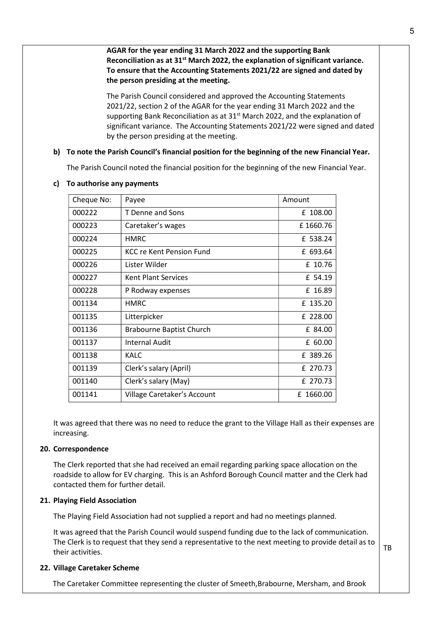AGAR for the year ending 31 March 2022 and the supporting Bank Reconciliation as at 31<sup>st</sup> March 2022, the explanation of significant variance. To ensure that the Accounting Statements 2021/22 are signed and dated by the person presiding at the meeting.

The Parish Council considered and approved the Accounting Statements 2021/22, section 2 of the AGAR for the year ending 31 March 2022 and the supporting Bank Reconciliation as at 31<sup>st</sup> March 2022, and the explanation of significant variance. The Accounting Statements 2021/22 were signed and dated by the person presiding at the meeting.

### b) To note the Parish Council's financial position for the beginning of the new Financial Year.

The Parish Council noted the financial position for the beginning of the new Financial Year.

| Cheque No: | Payee                           | Amount    |
|------------|---------------------------------|-----------|
| 000222     | T Denne and Sons                | £ 108.00  |
| 000223     | Caretaker's wages               | £1660.76  |
| 000224     | <b>HMRC</b>                     | £ 538.24  |
| 000225     | KCC re Kent Pension Fund        | £ 693.64  |
| 000226     | Lister Wilder                   | £ 10.76   |
| 000227     | Kent Plant Services             | £ 54.19   |
| 000228     | P Rodway expenses               | £ 16.89   |
| 001134     | <b>HMRC</b>                     | £ 135.20  |
| 001135     | Litterpicker                    | £ 228.00  |
| 001136     | <b>Brabourne Baptist Church</b> | £ 84.00   |
| 001137     | <b>Internal Audit</b>           | £ 60.00   |
| 001138     | KALC                            | £ 389.26  |
| 001139     | Clerk's salary (April)          | £ 270.73  |
| 001140     | Clerk's salary (May)            | £ 270.73  |
| 001141     | Village Caretaker's Account     | £ 1660.00 |

#### c) To authorise any payments

It was agreed that there was no need to reduce the grant to the Village Hall as their expenses are increasing.

### 20. Correspondence

The Clerk reported that she had received an email regarding parking space allocation on the roadside to allow for EV charging. This is an Ashford Borough Council matter and the Clerk had contacted them for further detail.

### 21. Playing Field Association

The Playing Field Association had not supplied a report and had no meetings planned.

It was agreed that the Parish Council would suspend funding due to the lack of communication. The Clerk is to request that they send a representative to the next meeting to provide detail as to their activities.

### 22. Village Caretaker Scheme

The Caretaker Committee representing the cluster of Smeeth,Brabourne, Mersham, and Brook

TB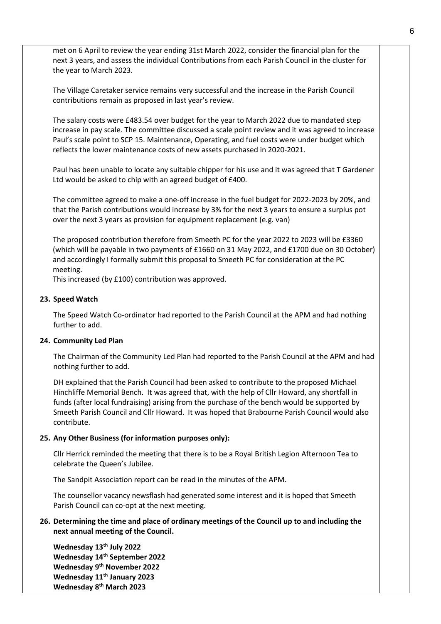met on 6 April to review the year ending 31st March 2022, consider the financial plan for the next 3 years, and assess the individual Contributions from each Parish Council in the cluster for the year to March 2023.

The Village Caretaker service remains very successful and the increase in the Parish Council contributions remain as proposed in last year's review.

The salary costs were £483.54 over budget for the year to March 2022 due to mandated step increase in pay scale. The committee discussed a scale point review and it was agreed to increase Paul's scale point to SCP 15. Maintenance, Operating, and fuel costs were under budget which reflects the lower maintenance costs of new assets purchased in 2020-2021.

Paul has been unable to locate any suitable chipper for his use and it was agreed that T Gardener Ltd would be asked to chip with an agreed budget of £400.

The committee agreed to make a one-off increase in the fuel budget for 2022-2023 by 20%, and that the Parish contributions would increase by 3% for the next 3 years to ensure a surplus pot over the next 3 years as provision for equipment replacement (e.g. van)

The proposed contribution therefore from Smeeth PC for the year 2022 to 2023 will be £3360 (which will be payable in two payments of £1660 on 31 May 2022, and £1700 due on 30 October) and accordingly I formally submit this proposal to Smeeth PC for consideration at the PC meeting.

This increased (by £100) contribution was approved.

### 23. Speed Watch

The Speed Watch Co-ordinator had reported to the Parish Council at the APM and had nothing further to add.

#### 24. Community Led Plan

The Chairman of the Community Led Plan had reported to the Parish Council at the APM and had nothing further to add.

DH explained that the Parish Council had been asked to contribute to the proposed Michael Hinchliffe Memorial Bench. It was agreed that, with the help of Cllr Howard, any shortfall in funds (after local fundraising) arising from the purchase of the bench would be supported by Smeeth Parish Council and Cllr Howard. It was hoped that Brabourne Parish Council would also contribute.

#### 25. Any Other Business (for information purposes only):

Cllr Herrick reminded the meeting that there is to be a Royal British Legion Afternoon Tea to celebrate the Queen's Jubilee.

The Sandpit Association report can be read in the minutes of the APM.

The counsellor vacancy newsflash had generated some interest and it is hoped that Smeeth Parish Council can co-opt at the next meeting.

## 26. Determining the time and place of ordinary meetings of the Council up to and including the next annual meeting of the Council.

Wednesday 13<sup>th</sup> July 2022 Wednesday 14th September 2022 Wednesday 9<sup>th</sup> November 2022 Wednesday 11<sup>th</sup> January 2023 Wednesday 8<sup>th</sup> March 2023